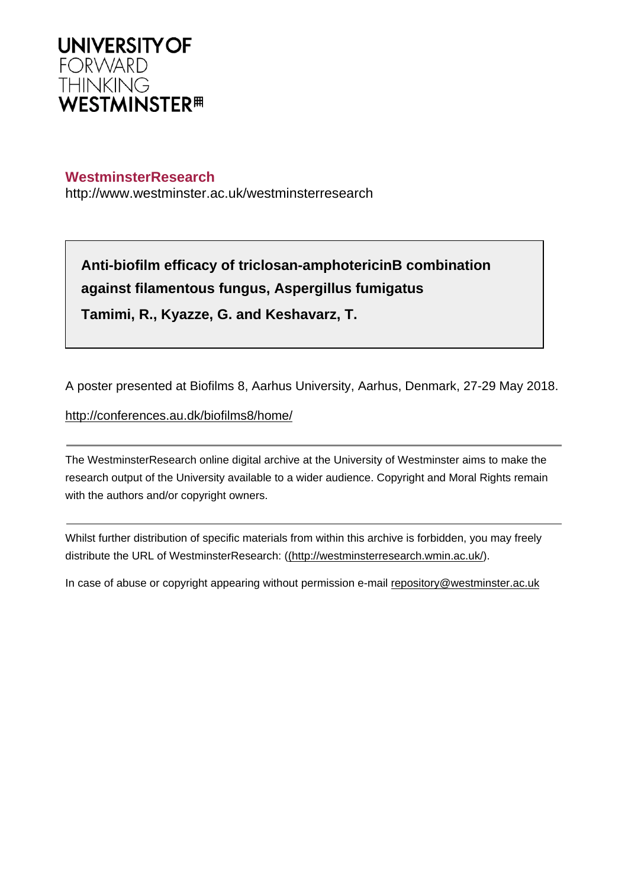

## **WestminsterResearch**

http://www.westminster.ac.uk/westminsterresearch

**Anti-biofilm efficacy of triclosan-amphotericinB combination against filamentous fungus, Aspergillus fumigatus Tamimi, R., Kyazze, G. and Keshavarz, T.**

A poster presented at Biofilms 8, Aarhus University, Aarhus, Denmark, 27-29 May 2018.

<http://conferences.au.dk/biofilms8/home/>

The WestminsterResearch online digital archive at the University of Westminster aims to make the research output of the University available to a wider audience. Copyright and Moral Rights remain with the authors and/or copyright owners.

Whilst further distribution of specific materials from within this archive is forbidden, you may freely distribute the URL of WestminsterResearch: [\(\(http://westminsterresearch.wmin.ac.uk/](http://westminsterresearch.wmin.ac.uk/)).

In case of abuse or copyright appearing without permission e-mail <repository@westminster.ac.uk>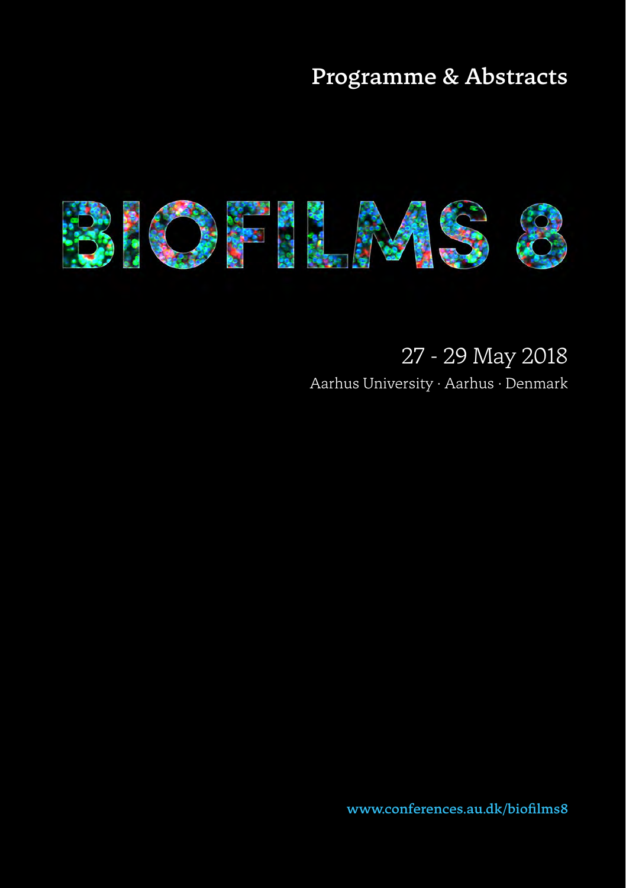## Programme & Abstracts



## 27 - 29 May 2018

Aarhus University · Aarhus · Denmark

www.conferences.au.dk/biofilms8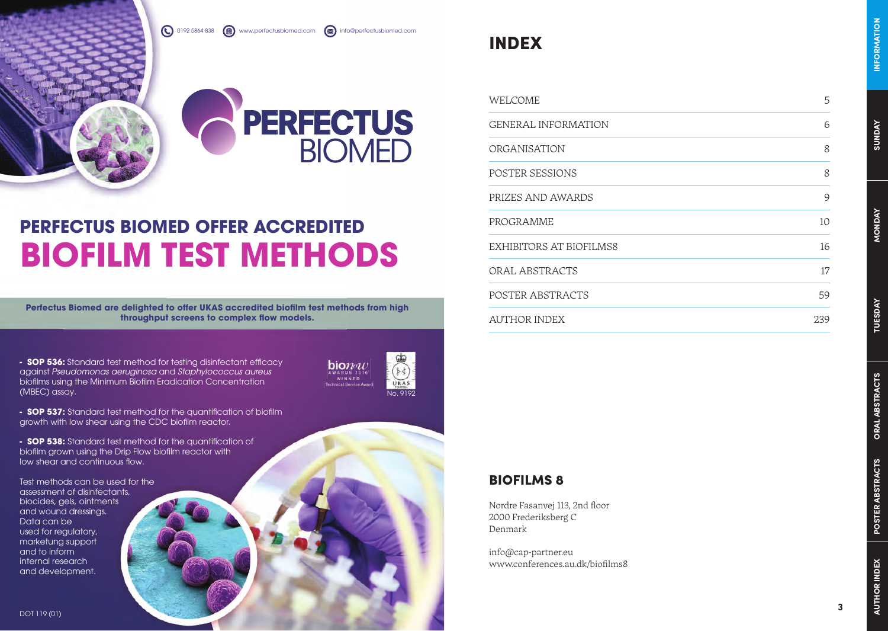0192 5864 838 www.perfectusbiomed.com **and info@perfectusbiomed.com** 



## **PERFECTUS BIOMED OFFER ACCREDITED BIOFILM TEST METHODS**

Perfectus Biomed are delighted to offer UKAS accredited biofilm test methods from high **throughput screens to complex flow models.** 

**- SOP 536:** Standard test method for testing disinfectant efficacy against *Pseudomonas aeruginosa* and *Staphylococcus aureus* biofilms using the Minimum Biofilm Eradication Concentration  $(MBEC)$  assay.



**- SOP 537:** Standard test method for the auantification of biofilm growth with low shear using the CDC biofilm reactor.

**- SOP 538:** Standard test method for the quantification of biofilm grown using the Drip Flow biofilm reactor with low shear and continuous flow.

Test methods can be used for the assessment of disinfectants, biocides, gels, ointments and wound dressings. Data can be used for regulatory, marketung support and to inform internal research and development.

**SUNDAY**

## BIOFILMS 8

INDEX

Nordre Fasanvej 113, 2nd floor 2000 Frederiksberg C Denmark

info@cap-partner.eu www.conferences.au.dk/biofilms8

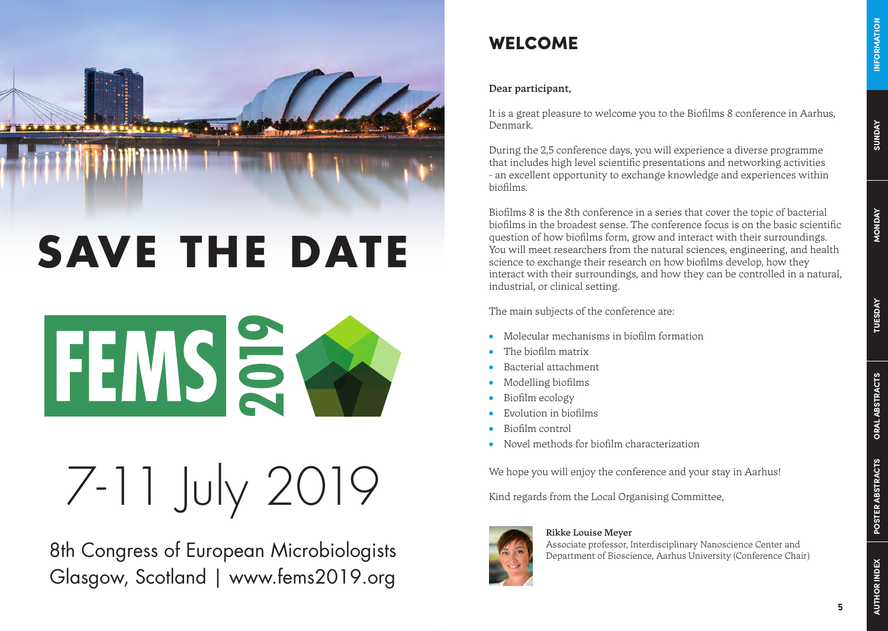

## **SAVE THE DATE**

**FEMS<sup>S</sup>** 

# 7-11 July 2019

8th Congress of European Microbiologists Glasgow, Scotland | www.fems2019.org

## WELCOME

## Dear participant,

It is a great pleasure to welcome you to the Biofilms 8 conference in Aarhus, Denmark.

During the 2,5 conference days, you will experience a diverse programme that includes high level scientific presentations and networking activities - an excellent opportunity to exchange knowledge and experiences within biofilms.

Biofilms 8 is the 8th conference in a series that cover the topic of bacterial biofilms in the broadest sense. The conference focus is on the basic scientific question of how biofilms form, grow and interact with their surroundings. You will meet researchers from the natural sciences, engineering, and health science to exchange their research on how biofilms develop, how they interact with their surroundings, and how they can be controlled in a natural, industrial, or clinical setting.

The main subjects of the conference are:

- Molecular mechanisms in biofilm formation
- The biofilm matrix
- Bacterial attachment
- Modelling biofilms
- Biofilm ecology
- Evolution in biofilms
- Biofilm control
- Novel methods for biofilm characterization

We hope you will enjoy the conference and your stay in Aarhus!

Kind regards from the Local Organising Committee,



Associate professor, Interdisciplinary Nanoscience Center and Department of Bioscience, Aarhus University (Conference Chair)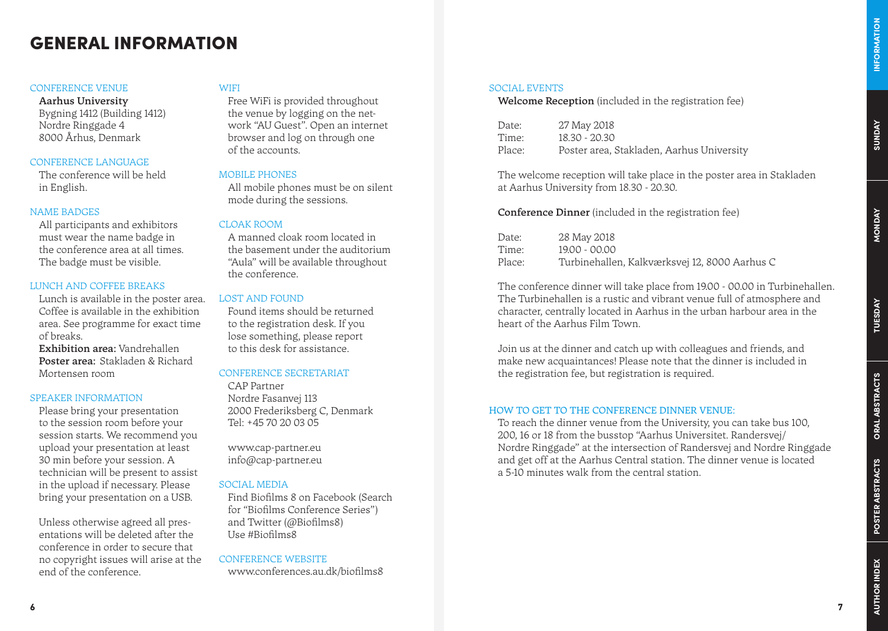## GENERAL INFORMATION

### CONFERENCE VENUE

Aarhus University Bygning 1412 (Building 1412) Nordre Ringgade 4 8000 Århus, Denmark

## CONFERENCE LANGUAGE

The conference will be held in English.

### NAME BADGES

All participants and exhibitors must wear the name badge in the conference area at all times. The badge must be visible.

### LUNCH AND COFFEE BREAKS

Lunch is available in the poster area. Coffee is available in the exhibition area. See programme for exact time of breaks.

Exhibition area: Vandrehallen Poster area: Stakladen & Richard Mortensen room

#### SPEAKER INFORMATION

Please bring your presentation to the session room before your session starts. We recommend you upload your presentation at least 30 min before your session. A technician will be present to assist in the upload if necessary. Please bring your presentation on a USB.

Unless otherwise agreed all presentations will be deleted after the conference in order to secure that no copyright issues will arise at the end of the conference.

## **WIFI**

Free WiFi is provided throughout the venue by logging on the network "AU Guest". Open an internet browser and log on through one of the accounts.

#### MOBILE PHONES

All mobile phones must be on silent mode during the sessions.

## CLOAK ROOM

A manned cloak room located in the basement under the auditorium "Aula" will be available throughout the conference.

## LOST AND FOUND

Found items should be returned to the registration desk. If you lose something, please report to this desk for assistance.

## CONFERENCE SECRETARIAT

CAP Partner Nordre Fasanvej 113 2000 Frederiksberg C, Denmark Tel: +45 70 20 03 05

www.cap-partner.eu info@cap-partner.eu

### SOCIAL MEDIA

Find Biofilms 8 on Facebook (Search for "Biofilms Conference Series") and Twitter (@Biofilms8) Use #Biofilms8

CONFERENCE WEBSITE

www.conferences.au.dk/biofilms8

### SOCIAL EVENTS

Welcome Reception (included in the registration fee)

| Date:  | 27 May 2018                               |
|--------|-------------------------------------------|
| Time:  | 18.30 - 20.30                             |
| Place: | Poster area, Stakladen, Aarhus University |

The welcome reception will take place in the poster area in Stakladen at Aarhus University from 18.30 - 20.30.

Conference Dinner (included in the registration fee)

| Date:  | 28 May 2018                                   |
|--------|-----------------------------------------------|
| Time:  | 19.00 - 00.00                                 |
| Place: | Turbinehallen, Kalkværksvej 12, 8000 Aarhus C |

The conference dinner will take place from 19.00 - 00.00 in Turbinehallen. The Turbinehallen is a rustic and vibrant venue full of atmosphere and character, centrally located in Aarhus in the urban harbour area in the heart of the Aarhus Film Town.

Join us at the dinner and catch up with colleagues and friends, and make new acquaintances! Please note that the dinner is included in the registration fee, but registration is required.

### HOW TO GET TO THE CONFERENCE DINNER VENUE:

To reach the dinner venue from the University, you can take bus 100, 200, 16 or 18 from the busstop "Aarhus Universitet. Randersvej/ Nordre Ringgade" at the intersection of Randersvej and Nordre Ringgade and get off at the Aarhus Central station. The dinner venue is located a 5-10 minutes walk from the central station.

**AUTHOR INDEX**

AUTHOR INDEX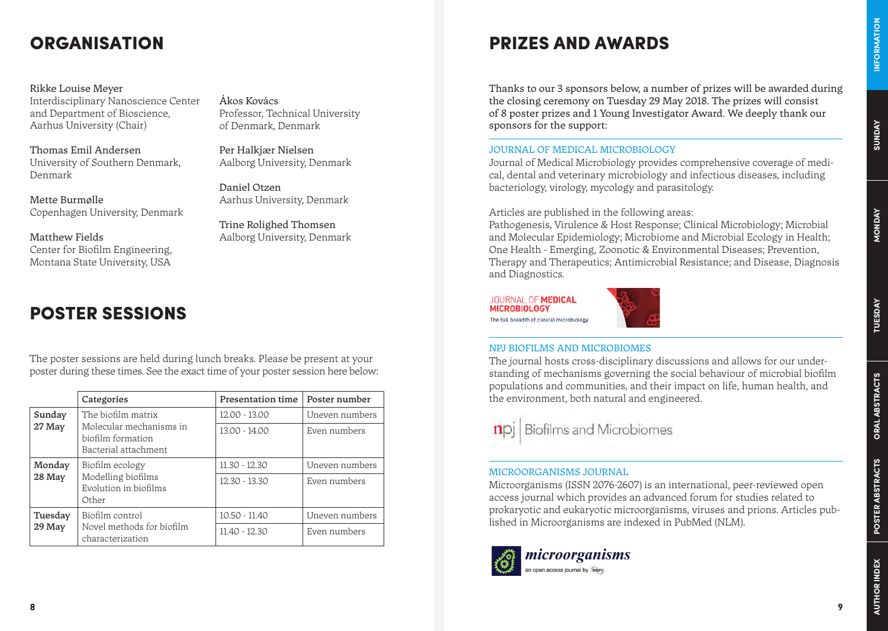## **ORGANISATION**

Rikke Louise Meyer Interdisciplinary Nanoscience Center and Department of Bioscience, Aarhus University (Chair)

Thomas Emil Andersen University of Southern Denmark, Denmark

Mette Burmølle Copenhagen University, Denmark

Matthew Fields Center for Biofilm Engineering, Montana State University, USA

## POSTER SESSIONS

The poster sessions are held during lunch breaks. Please be present at your poster during these times. See the exact time of your poster session here below:

|                  | Categories                                                                                 | Presentation time | Poster number  |
|------------------|--------------------------------------------------------------------------------------------|-------------------|----------------|
| Sunday<br>27 May | The biofilm matrix<br>Molecular mechanisms in<br>biofilm formation<br>Bacterial attachment | 12.00 - 13.00     | Uneven numbers |
|                  |                                                                                            | 13.00 - 14.00     | Even numbers   |
| Monday           | Biofilm ecology<br>Modelling biofilms<br>Evolution in biofilms<br>Other                    | 11.30 - 12.30     | Uneven numbers |
| 28 May           |                                                                                            | 12.30 - 13.30     | Even numbers   |
| Tuesday          | Biofilm control<br>Novel methods for biofilm<br>characterization                           | 10.50 - 11.40     | Uneven numbers |
| 29 May           |                                                                                            | 11.40 - 12.30     | Even numbers   |

Ákos Kovács Professor, Technical University of Denmark, Denmark

Per Halkjær Nielsen Aalborg University, Denmark

Daniel Otzen Aarhus University, Denmark

Trine Rolighed Thomsen Aalborg University, Denmark

## PRIZES AND AWARDS

Thanks to our 3 sponsors below, a number of prizes will be awarded during the closing ceremony on Tuesday 29 May 2018. The prizes will consist of 8 poster prizes and 1 Young Investigator Award. We deeply thank our sponsors for the support:

## JOURNAL OF MEDICAL MICROBIOLOGY

Journal of Medical Microbiology provides comprehensive coverage of medical, dental and veterinary microbiology and infectious diseases, including bacteriology, virology, mycology and parasitology.

Articles are published in the following areas:

Pathogenesis, Virulence & Host Response; Clinical Microbiology; Microbial and Molecular Epidemiology; Microbiome and Microbial Ecology in Health; One Health - Emerging, Zoonotic & Environmental Diseases; Prevention, Therapy and Therapeutics; Antimicrobial Resistance; and Disease, Diagnosis and Diagnostics.

JOURNAL OF MEDICAL **MICROBIOLOGY** The full breadth of clinical microbiology



## NPJ BIOFILMS AND MICROBIOMES

The journal hosts cross-disciplinary discussions and allows for our understanding of mechanisms governing the social behaviour of microbial biofilm populations and communities, and their impact on life, human health, and the environment, both natural and engineered.



**Biofilms and Microbiomes** 

## MICROORGANISMS JOURNAL

Microorganisms (ISSN 2076-2607) is an international, peer-reviewed open access journal which provides an advanced forum for studies related to prokaryotic and eukaryotic microorganisms, viruses and prions. Articles published in Microorganisms are indexed in PubMed (NLM).



microorganisms an open access journal by more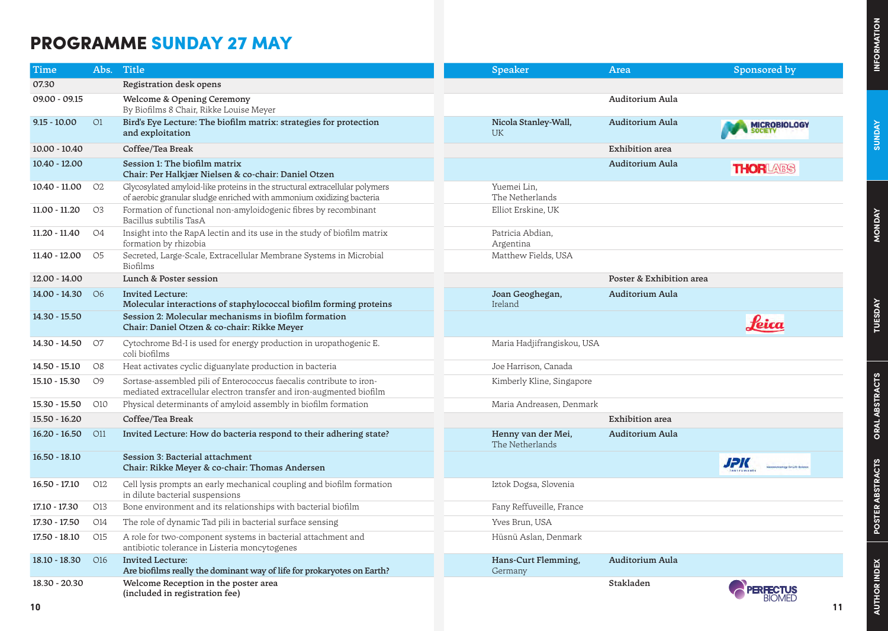## **SUNDAY**

## PROGRAMME SUNDAY 27 MAY

| Time             |                | Abs. Title                                                                                                                                          | Speaker                               | Area                     | Sponsored by                                       |
|------------------|----------------|-----------------------------------------------------------------------------------------------------------------------------------------------------|---------------------------------------|--------------------------|----------------------------------------------------|
| 07.30            |                | Registration desk opens                                                                                                                             |                                       |                          |                                                    |
| 09.00 - 09.15    |                | Welcome & Opening Ceremony<br>By Biofilms 8 Chair, Rikke Louise Meyer                                                                               |                                       | Auditorium Aula          |                                                    |
| $9.15 - 10.00$   | O1             | Bird's Eye Lecture: The biofilm matrix: strategies for protection<br>and exploitation                                                               | Nicola Stanley-Wall,<br>UK.           | Auditorium Aula          | <b>MICROBIOLOGY</b>                                |
| 10.00 - 10.40    |                | Coffee/Tea Break                                                                                                                                    |                                       | Exhibition area          |                                                    |
| $10.40 - 12.00$  |                | Session 1: The biofilm matrix<br>Chair: Per Halkjær Nielsen & co-chair: Daniel Otzen                                                                |                                       | Auditorium Aula          | <b>THORLARS</b>                                    |
| $10.40 - 11.00$  | O <sub>2</sub> | Glycosylated amyloid-like proteins in the structural extracellular polymers<br>of aerobic granular sludge enriched with ammonium oxidizing bacteria | Yuemei Lin,<br>The Netherlands        |                          |                                                    |
| 11.00 - 11.20    | O <sub>3</sub> | Formation of functional non-amyloidogenic fibres by recombinant<br>Bacillus subtilis TasA                                                           | Elliot Erskine, UK                    |                          |                                                    |
| 11.20 - 11.40    | 04             | Insight into the RapA lectin and its use in the study of biofilm matrix<br>formation by rhizobia                                                    | Patricia Abdian,<br>Argentina         |                          |                                                    |
| 11.40 - 12.00    | O5             | Secreted, Large-Scale, Extracellular Membrane Systems in Microbial<br>Biofilms                                                                      | Matthew Fields, USA                   |                          |                                                    |
| 12.00 - 14.00    |                | Lunch & Poster session                                                                                                                              |                                       | Poster & Exhibition area |                                                    |
| 14.00 - 14.30 06 |                | <b>Invited Lecture:</b><br>Molecular interactions of staphylococcal biofilm forming proteins                                                        | Joan Geoghegan,<br>Ireland            | Auditorium Aula          |                                                    |
| 14.30 - 15.50    |                | Session 2: Molecular mechanisms in biofilm formation<br>Chair: Daniel Otzen & co-chair: Rikke Meyer                                                 |                                       |                          | <u>feica</u>                                       |
| 14.30 - 14.50    | O7             | Cytochrome Bd-I is used for energy production in uropathogenic E.<br>coli biofilms                                                                  | Maria Hadjifrangiskou, USA            |                          |                                                    |
| 14.50 - 15.10    | O8             | Heat activates cyclic diguanylate production in bacteria                                                                                            | Joe Harrison, Canada                  |                          |                                                    |
| 15.10 - 15.30    | O9             | Sortase-assembled pili of Enterococcus faecalis contribute to iron-<br>mediated extracellular electron transfer and iron-augmented biofilm          | Kimberly Kline, Singapore             |                          |                                                    |
| 15.30 - 15.50    | O10            | Physical determinants of amyloid assembly in biofilm formation                                                                                      | Maria Andreasen, Denmark              |                          |                                                    |
| 15.50 - 16.20    |                | Coffee/Tea Break                                                                                                                                    |                                       | Exhibition area          |                                                    |
| $16.20 - 16.50$  | O11            | Invited Lecture: How do bacteria respond to their adhering state?                                                                                   | Henny van der Mei,<br>The Netherlands | Auditorium Aula          |                                                    |
| $16.50 - 18.10$  |                | Session 3: Bacterial attachment<br>Chair: Rikke Meyer & co-chair: Thomas Andersen                                                                   |                                       |                          | <b>JPK</b><br>.<br>Nanosychrology Rie Life Science |
| $16.50 - 17.10$  | O12            | Cell lysis prompts an early mechanical coupling and biofilm formation<br>in dilute bacterial suspensions                                            | Iztok Dogsa, Slovenia                 |                          |                                                    |
| 17.10 - 17.30    | O13            | Bone environment and its relationships with bacterial biofilm                                                                                       | Fany Reffuveille, France              |                          |                                                    |
| 17.30 - 17.50    | O14            | The role of dynamic Tad pili in bacterial surface sensing                                                                                           | Yves Brun, USA                        |                          |                                                    |
| 17.50 - 18.10    | O15            | A role for two-component systems in bacterial attachment and<br>antibiotic tolerance in Listeria moncytogenes                                       | Hüsnü Aslan, Denmark                  |                          |                                                    |
| $18.10 - 18.30$  | O16            | <b>Invited Lecture:</b><br>Are biofilms really the dominant way of life for prokaryotes on Earth?                                                   | Hans-Curt Flemming,<br>Germany        | Auditorium Aula          |                                                    |
| 18.30 - 20.30    |                | Welcome Reception in the poster area<br>(included in registration fee)                                                                              |                                       | Stakladen                |                                                    |
| 10               |                |                                                                                                                                                     |                                       |                          |                                                    |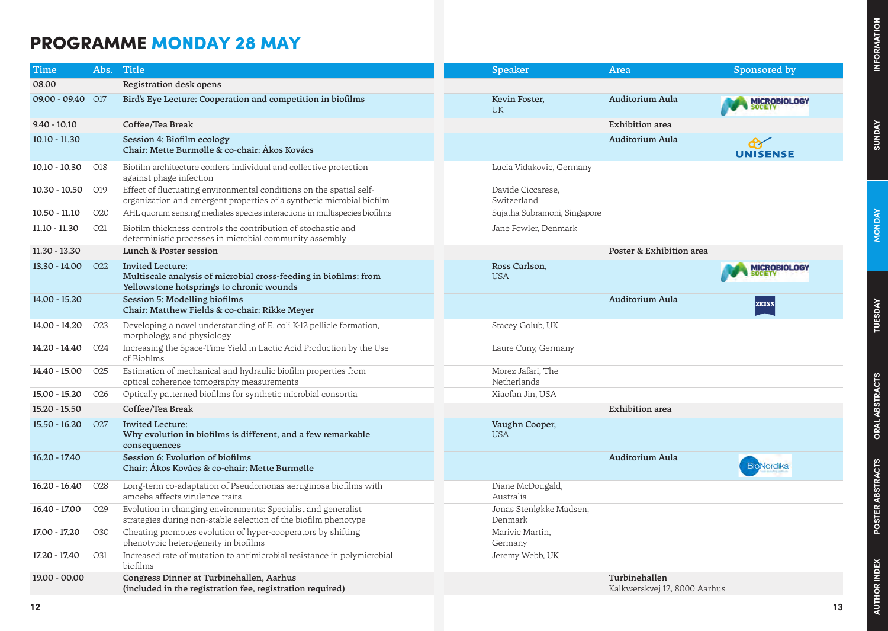## **SUNDAY**

## PROGRAMME MONDAY 28 MAY

| Time                |                 | Abs. Title                                                                                                                                   | <b>Speaker</b>                     | <b>Area</b>                                   | Sponsored by        |
|---------------------|-----------------|----------------------------------------------------------------------------------------------------------------------------------------------|------------------------------------|-----------------------------------------------|---------------------|
| 08.00               |                 | Registration desk opens                                                                                                                      |                                    |                                               |                     |
| $09.00 - 09.40$ 017 |                 | Bird's Eye Lecture: Cooperation and competition in biofilms                                                                                  | Kevin Foster,<br><b>UK</b>         | Auditorium Aula                               | <b>IICROBIOLOGY</b> |
| $9.40 - 10.10$      |                 | Coffee/Tea Break                                                                                                                             |                                    | Exhibition area                               |                     |
| $10.10 - 11.30$     |                 | Session 4: Biofilm ecology<br>Chair: Mette Burmølle & co-chair: Ákos Kovács                                                                  |                                    | Auditorium Aula                               | <b>UNISENSE</b>     |
| $10.10 - 10.30$     | O18             | Biofilm architecture confers individual and collective protection<br>against phage infection                                                 | Lucia Vidakovic, Germany           |                                               |                     |
| $10.30 - 10.50$ 019 |                 | Effect of fluctuating environmental conditions on the spatial self-<br>organization and emergent properties of a synthetic microbial biofilm | Davide Ciccarese,<br>Switzerland   |                                               |                     |
| $10.50 - 11.10$     | O <sub>20</sub> | AHL quorum sensing mediates species interactions in multispecies biofilms                                                                    | Sujatha Subramoni, Singapore       |                                               |                     |
| $11.10 - 11.30$     | O <sub>21</sub> | Biofilm thickness controls the contribution of stochastic and<br>deterministic processes in microbial community assembly                     | Jane Fowler, Denmark               |                                               |                     |
| $11.30 - 13.30$     |                 | Lunch & Poster session                                                                                                                       |                                    | Poster & Exhibition area                      |                     |
| 13.30 - 14.00       | O <sub>22</sub> | <b>Invited Lecture:</b><br>Multiscale analysis of microbial cross-feeding in biofilms: from<br>Yellowstone hotsprings to chronic wounds      | Ross Carlson,<br><b>USA</b>        |                                               | MICROBIOLOGY        |
| 14.00 - 15.20       |                 | Session 5: Modelling biofilms<br>Chair: Matthew Fields & co-chair: Rikke Meyer                                                               |                                    | Auditorium Aula                               |                     |
| 14.00 - 14.20       | O <sub>23</sub> | Developing a novel understanding of E. coli K-12 pellicle formation,<br>morphology, and physiology                                           | Stacey Golub, UK                   |                                               |                     |
| 14.20 - 14.40       | O <sub>24</sub> | Increasing the Space-Time Yield in Lactic Acid Production by the Use<br>of Biofilms                                                          | Laure Cuny, Germany                |                                               |                     |
| 14.40 - 15.00       | O <sub>25</sub> | Estimation of mechanical and hydraulic biofilm properties from<br>optical coherence tomography measurements                                  | Morez Jafari, The<br>Netherlands   |                                               |                     |
| 15.00 - 15.20       | O <sub>26</sub> | Optically patterned biofilms for synthetic microbial consortia                                                                               | Xiaofan Jin, USA                   |                                               |                     |
| 15.20 - 15.50       |                 | Coffee/Tea Break                                                                                                                             |                                    | Exhibition area                               |                     |
| $15.50 - 16.20$     | O <sub>27</sub> | <b>Invited Lecture:</b><br>Why evolution in biofilms is different, and a few remarkable<br>consequences                                      | Vaughn Cooper,<br><b>USA</b>       |                                               |                     |
| $16.20 - 17.40$     |                 | Session 6: Evolution of biofilms<br>Chair: Ákos Kovács & co-chair: Mette Burmølle                                                            |                                    | Auditorium Aula                               | BioNordika          |
| $16.20 - 16.40$     | O <sub>28</sub> | Long-term co-adaptation of Pseudomonas aeruginosa biofilms with<br>amoeba affects virulence traits                                           | Diane McDougald,<br>Australia      |                                               |                     |
| 16.40 - 17.00       | O <sub>29</sub> | Evolution in changing environments: Specialist and generalist<br>strategies during non-stable selection of the biofilm phenotype             | Jonas Stenløkke Madsen,<br>Denmark |                                               |                     |
| 17.00 - 17.20       | O <sub>30</sub> | Cheating promotes evolution of hyper-cooperators by shifting<br>phenotypic heterogeneity in biofilms                                         | Marivic Martin,<br>Germany         |                                               |                     |
| 17.20 - 17.40       | O31             | Increased rate of mutation to antimicrobial resistance in polymicrobial<br>biofilms                                                          | Jeremy Webb, UK                    |                                               |                     |
| 19.00 - 00.00       |                 | Congress Dinner at Turbinehallen, Aarhus<br>(included in the registration fee, registration required)                                        |                                    | Turbinehallen<br>Kalkværskvej 12, 8000 Aarhus |                     |
| 12                  |                 |                                                                                                                                              |                                    |                                               | 13                  |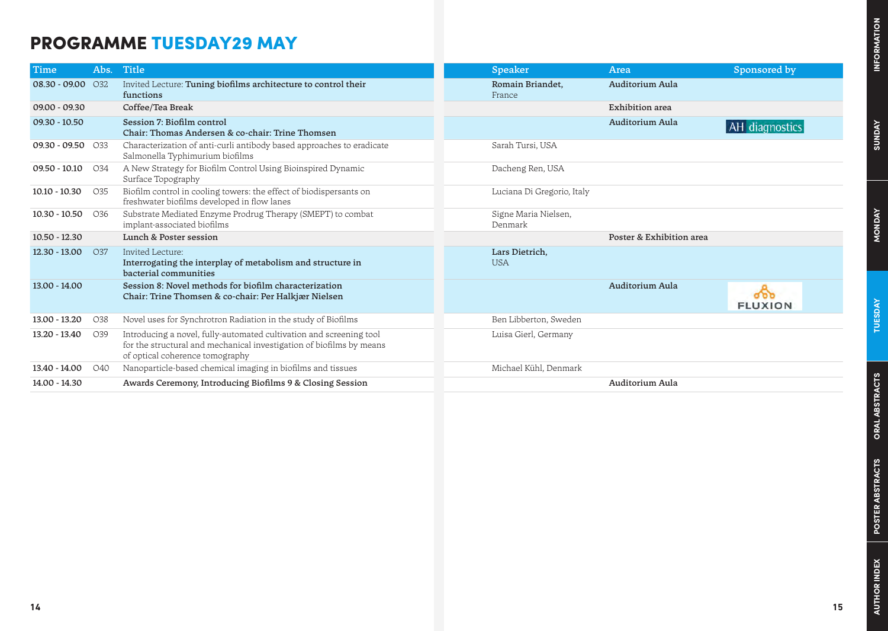## **SUNDAY**

## PROGRAMME TUESDAY29 MAY

| Time                | Abs. | <b>Title</b>                                                                                                                                                                   | Speaker                         | Area                     | Sponsored by   |
|---------------------|------|--------------------------------------------------------------------------------------------------------------------------------------------------------------------------------|---------------------------------|--------------------------|----------------|
| 08.30 - 09.00 032   |      | Invited Lecture: Tuning biofilms architecture to control their<br>functions                                                                                                    | Romain Briandet,<br>France      | Auditorium Aula          |                |
| $09.00 - 09.30$     |      | Coffee/Tea Break                                                                                                                                                               |                                 | Exhibition area          |                |
| $09.30 - 10.50$     |      | Session 7: Biofilm control<br>Chair: Thomas Andersen & co-chair: Trine Thomsen                                                                                                 |                                 | Auditorium Aula          | AH diagnostics |
| $09.30 - 09.50$ 033 |      | Characterization of anti-curli antibody based approaches to eradicate<br>Salmonella Typhimurium biofilms                                                                       | Sarah Tursi, USA                |                          |                |
| $09.50 - 10.10$     | O34  | A New Strategy for Biofilm Control Using Bioinspired Dynamic<br>Surface Topography                                                                                             | Dacheng Ren, USA                |                          |                |
| $10.10 - 10.30$     | O35  | Biofilm control in cooling towers: the effect of biodispersants on<br>freshwater biofilms developed in flow lanes                                                              | Luciana Di Gregorio, Italy      |                          |                |
| 10.30 - 10.50       | O36  | Substrate Mediated Enzyme Prodrug Therapy (SMEPT) to combat<br>implant-associated biofilms                                                                                     | Signe Maria Nielsen,<br>Denmark |                          |                |
| $10.50 - 12.30$     |      | Lunch & Poster session                                                                                                                                                         |                                 | Poster & Exhibition area |                |
| 12.30 - 13.00       | O37  | Invited Lecture:<br>Interrogating the interplay of metabolism and structure in<br>bacterial communities                                                                        | Lars Dietrich,<br><b>USA</b>    |                          |                |
| 13.00 - 14.00       |      | Session 8: Novel methods for biofilm characterization<br>Chair: Trine Thomsen & co-chair: Per Halkjær Nielsen                                                                  |                                 | Auditorium Aula          | <b>FLUXION</b> |
| 13.00 - 13.20       | O38  | Novel uses for Synchrotron Radiation in the study of Biofilms                                                                                                                  | Ben Libberton, Sweden           |                          |                |
| 13.20 - 13.40       | O39  | Introducing a novel, fully-automated cultivation and screening tool<br>for the structural and mechanical investigation of biofilms by means<br>of optical coherence tomography | Luisa Gierl, Germany            |                          |                |
| 13.40 - 14.00       | O40  | Nanoparticle-based chemical imaging in biofilms and tissues                                                                                                                    | Michael Kühl, Denmark           |                          |                |
| 14.00 - 14.30       |      | Awards Ceremony, Introducing Biofilms 9 & Closing Session                                                                                                                      |                                 | Auditorium Aula          |                |